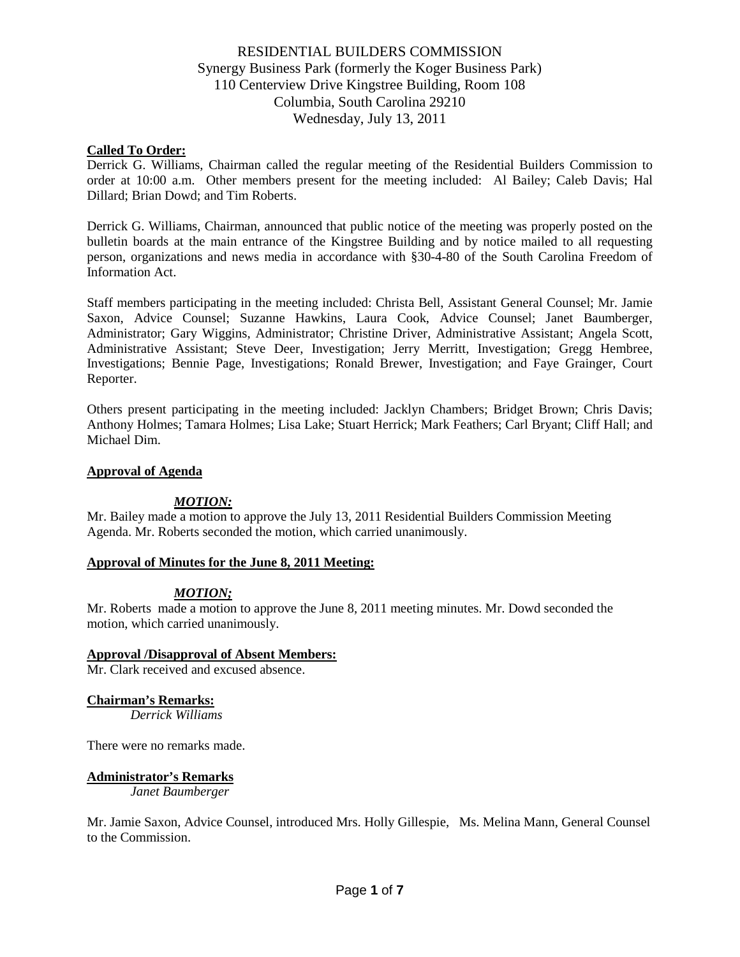## **Called To Order:**

Derrick G. Williams, Chairman called the regular meeting of the Residential Builders Commission to order at 10:00 a.m. Other members present for the meeting included: Al Bailey; Caleb Davis; Hal Dillard; Brian Dowd; and Tim Roberts.

Derrick G. Williams, Chairman, announced that public notice of the meeting was properly posted on the bulletin boards at the main entrance of the Kingstree Building and by notice mailed to all requesting person, organizations and news media in accordance with §30-4-80 of the South Carolina Freedom of Information Act.

Staff members participating in the meeting included: Christa Bell, Assistant General Counsel; Mr. Jamie Saxon, Advice Counsel; Suzanne Hawkins, Laura Cook, Advice Counsel; Janet Baumberger, Administrator; Gary Wiggins, Administrator; Christine Driver, Administrative Assistant; Angela Scott, Administrative Assistant; Steve Deer, Investigation; Jerry Merritt, Investigation; Gregg Hembree, Investigations; Bennie Page, Investigations; Ronald Brewer, Investigation; and Faye Grainger, Court Reporter.

Others present participating in the meeting included: Jacklyn Chambers; Bridget Brown; Chris Davis; Anthony Holmes; Tamara Holmes; Lisa Lake; Stuart Herrick; Mark Feathers; Carl Bryant; Cliff Hall; and Michael Dim.

#### **Approval of Agenda**

## *MOTION:*

Mr. Bailey made a motion to approve the July 13, 2011 Residential Builders Commission Meeting Agenda. Mr. Roberts seconded the motion, which carried unanimously.

## **Approval of Minutes for the June 8, 2011 Meeting:**

## *MOTION;*

Mr. Roberts made a motion to approve the June 8, 2011 meeting minutes. Mr. Dowd seconded the motion, which carried unanimously.

## **Approval /Disapproval of Absent Members:**

Mr. Clark received and excused absence.

## **Chairman's Remarks:**

*Derrick Williams*

There were no remarks made.

## **Administrator's Remarks**

*Janet Baumberger*

Mr. Jamie Saxon, Advice Counsel, introduced Mrs. Holly Gillespie, Ms. Melina Mann, General Counsel to the Commission.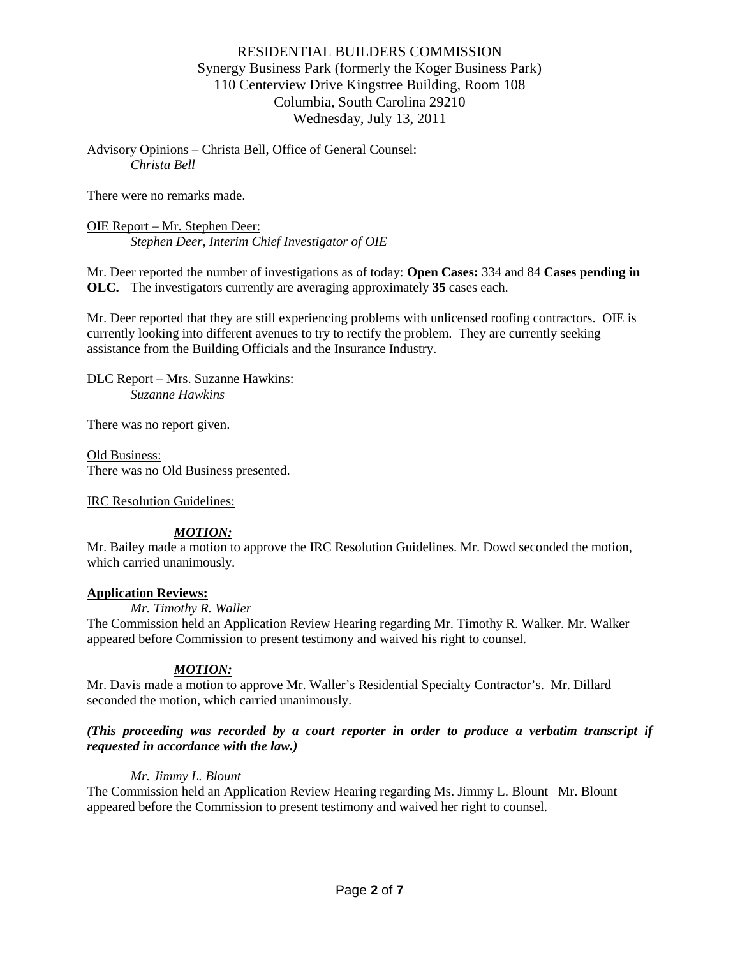Advisory Opinions – Christa Bell, Office of General Counsel: *Christa Bell*

There were no remarks made.

OIE Report – Mr. Stephen Deer: *Stephen Deer, Interim Chief Investigator of OIE*

Mr. Deer reported the number of investigations as of today: **Open Cases:** 334 and 84 **Cases pending in OLC.** The investigators currently are averaging approximately **35** cases each.

Mr. Deer reported that they are still experiencing problems with unlicensed roofing contractors. OIE is currently looking into different avenues to try to rectify the problem. They are currently seeking assistance from the Building Officials and the Insurance Industry.

DLC Report – Mrs. Suzanne Hawkins: *Suzanne Hawkins*

There was no report given.

Old Business: There was no Old Business presented.

IRC Resolution Guidelines:

# *MOTION:*

Mr. Bailey made a motion to approve the IRC Resolution Guidelines. Mr. Dowd seconded the motion, which carried unanimously.

## **Application Reviews:**

*Mr. Timothy R. Waller*

The Commission held an Application Review Hearing regarding Mr. Timothy R. Walker. Mr. Walker appeared before Commission to present testimony and waived his right to counsel.

# *MOTION:*

Mr. Davis made a motion to approve Mr. Waller's Residential Specialty Contractor's. Mr. Dillard seconded the motion, which carried unanimously.

## *(This proceeding was recorded by a court reporter in order to produce a verbatim transcript if requested in accordance with the law.)*

# *Mr. Jimmy L. Blount*

The Commission held an Application Review Hearing regarding Ms. Jimmy L. Blount Mr. Blount appeared before the Commission to present testimony and waived her right to counsel.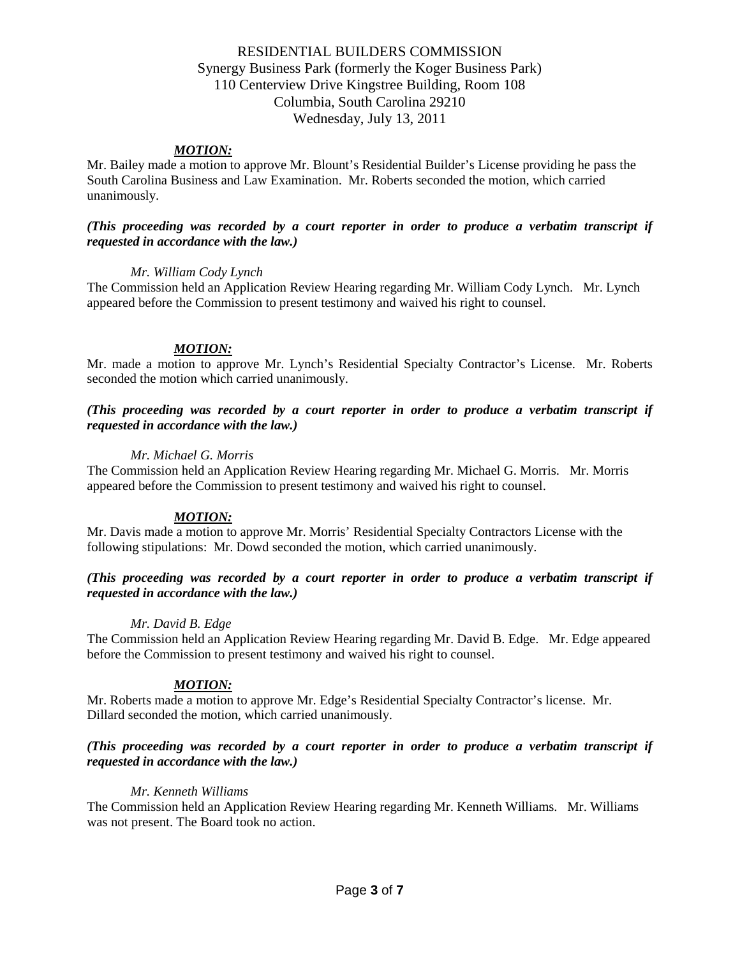## *MOTION:*

Mr. Bailey made a motion to approve Mr. Blount's Residential Builder's License providing he pass the South Carolina Business and Law Examination. Mr. Roberts seconded the motion, which carried unanimously.

## *(This proceeding was recorded by a court reporter in order to produce a verbatim transcript if requested in accordance with the law.)*

## *Mr. William Cody Lynch*

The Commission held an Application Review Hearing regarding Mr. William Cody Lynch. Mr. Lynch appeared before the Commission to present testimony and waived his right to counsel.

## *MOTION:*

Mr. made a motion to approve Mr. Lynch's Residential Specialty Contractor's License. Mr. Roberts seconded the motion which carried unanimously.

## *(This proceeding was recorded by a court reporter in order to produce a verbatim transcript if requested in accordance with the law.)*

## *Mr. Michael G. Morris*

The Commission held an Application Review Hearing regarding Mr. Michael G. Morris. Mr. Morris appeared before the Commission to present testimony and waived his right to counsel.

## *MOTION:*

Mr. Davis made a motion to approve Mr. Morris' Residential Specialty Contractors License with the following stipulations: Mr. Dowd seconded the motion, which carried unanimously.

## *(This proceeding was recorded by a court reporter in order to produce a verbatim transcript if requested in accordance with the law.)*

## *Mr. David B. Edge*

The Commission held an Application Review Hearing regarding Mr. David B. Edge. Mr. Edge appeared before the Commission to present testimony and waived his right to counsel.

# *MOTION:*

Mr. Roberts made a motion to approve Mr. Edge's Residential Specialty Contractor's license. Mr. Dillard seconded the motion, which carried unanimously.

## *(This proceeding was recorded by a court reporter in order to produce a verbatim transcript if requested in accordance with the law.)*

## *Mr. Kenneth Williams*

The Commission held an Application Review Hearing regarding Mr. Kenneth Williams. Mr. Williams was not present. The Board took no action.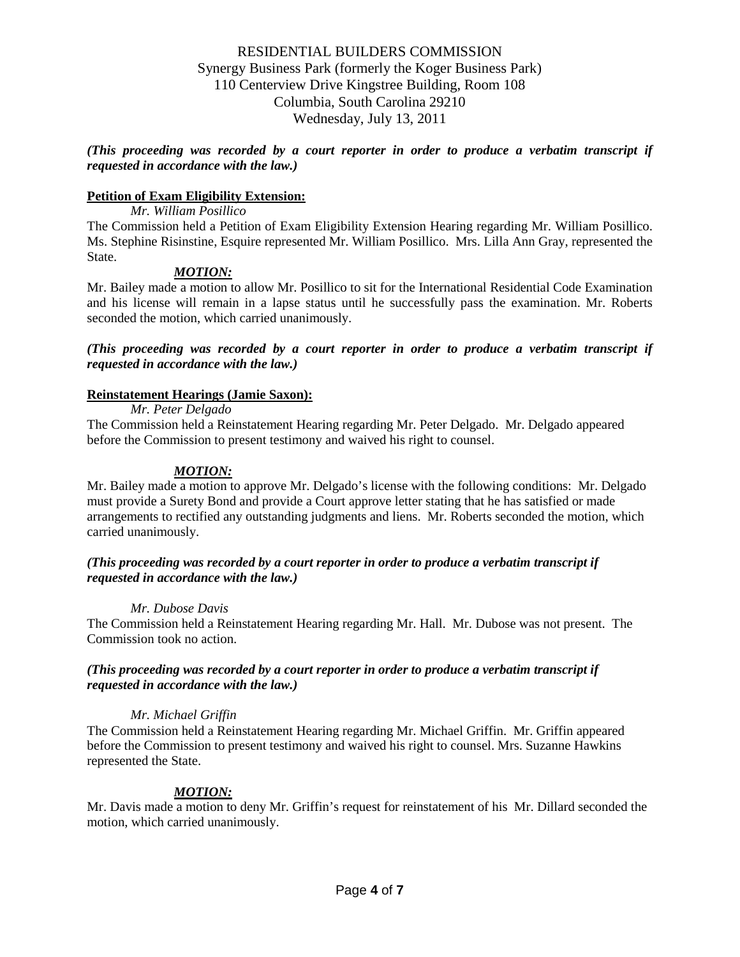*(This proceeding was recorded by a court reporter in order to produce a verbatim transcript if requested in accordance with the law.)*

## **Petition of Exam Eligibility Extension:**

*Mr. William Posillico*

The Commission held a Petition of Exam Eligibility Extension Hearing regarding Mr. William Posillico. Ms. Stephine Risinstine, Esquire represented Mr. William Posillico. Mrs. Lilla Ann Gray, represented the State.

## *MOTION:*

Mr. Bailey made a motion to allow Mr. Posillico to sit for the International Residential Code Examination and his license will remain in a lapse status until he successfully pass the examination. Mr. Roberts seconded the motion, which carried unanimously.

*(This proceeding was recorded by a court reporter in order to produce a verbatim transcript if requested in accordance with the law.)*

## **Reinstatement Hearings (Jamie Saxon):**

*Mr. Peter Delgado*

The Commission held a Reinstatement Hearing regarding Mr. Peter Delgado. Mr. Delgado appeared before the Commission to present testimony and waived his right to counsel.

## *MOTION:*

Mr. Bailey made a motion to approve Mr. Delgado's license with the following conditions: Mr. Delgado must provide a Surety Bond and provide a Court approve letter stating that he has satisfied or made arrangements to rectified any outstanding judgments and liens. Mr. Roberts seconded the motion, which carried unanimously.

## *(This proceeding was recorded by a court reporter in order to produce a verbatim transcript if requested in accordance with the law.)*

## *Mr. Dubose Davis*

The Commission held a Reinstatement Hearing regarding Mr. Hall. Mr. Dubose was not present. The Commission took no action.

## *(This proceeding was recorded by a court reporter in order to produce a verbatim transcript if requested in accordance with the law.)*

## *Mr. Michael Griffin*

The Commission held a Reinstatement Hearing regarding Mr. Michael Griffin. Mr. Griffin appeared before the Commission to present testimony and waived his right to counsel. Mrs. Suzanne Hawkins represented the State.

## *MOTION:*

Mr. Davis made a motion to deny Mr. Griffin's request for reinstatement of his Mr. Dillard seconded the motion, which carried unanimously.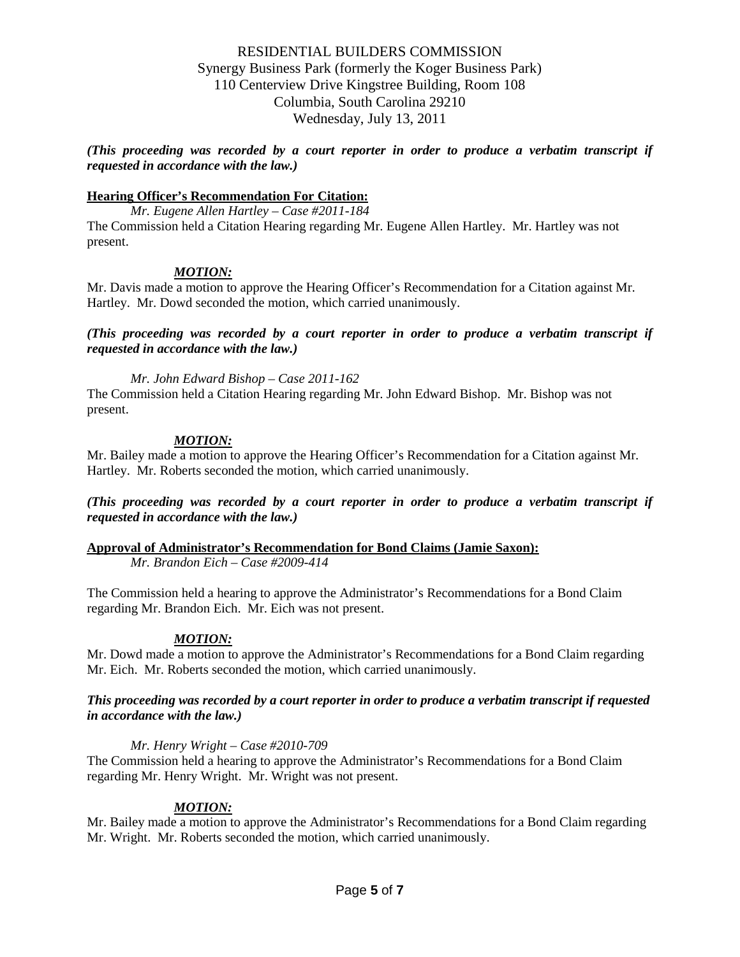*(This proceeding was recorded by a court reporter in order to produce a verbatim transcript if requested in accordance with the law.)*

## **Hearing Officer's Recommendation For Citation:**

*Mr. Eugene Allen Hartley – Case #2011-184* The Commission held a Citation Hearing regarding Mr. Eugene Allen Hartley. Mr. Hartley was not present.

# *MOTION:*

Mr. Davis made a motion to approve the Hearing Officer's Recommendation for a Citation against Mr. Hartley. Mr. Dowd seconded the motion, which carried unanimously.

*(This proceeding was recorded by a court reporter in order to produce a verbatim transcript if requested in accordance with the law.)*

*Mr. John Edward Bishop – Case 2011-162*

The Commission held a Citation Hearing regarding Mr. John Edward Bishop. Mr. Bishop was not present.

## *MOTION:*

Mr. Bailey made a motion to approve the Hearing Officer's Recommendation for a Citation against Mr. Hartley. Mr. Roberts seconded the motion, which carried unanimously.

*(This proceeding was recorded by a court reporter in order to produce a verbatim transcript if requested in accordance with the law.)*

## **Approval of Administrator's Recommendation for Bond Claims (Jamie Saxon):**

*Mr. Brandon Eich – Case #2009-414*

The Commission held a hearing to approve the Administrator's Recommendations for a Bond Claim regarding Mr. Brandon Eich. Mr. Eich was not present.

## *MOTION:*

Mr. Dowd made a motion to approve the Administrator's Recommendations for a Bond Claim regarding Mr. Eich. Mr. Roberts seconded the motion, which carried unanimously.

## *This proceeding was recorded by a court reporter in order to produce a verbatim transcript if requested in accordance with the law.)*

## *Mr. Henry Wright – Case #2010-709*

The Commission held a hearing to approve the Administrator's Recommendations for a Bond Claim regarding Mr. Henry Wright. Mr. Wright was not present.

## *MOTION:*

Mr. Bailey made a motion to approve the Administrator's Recommendations for a Bond Claim regarding Mr. Wright. Mr. Roberts seconded the motion, which carried unanimously.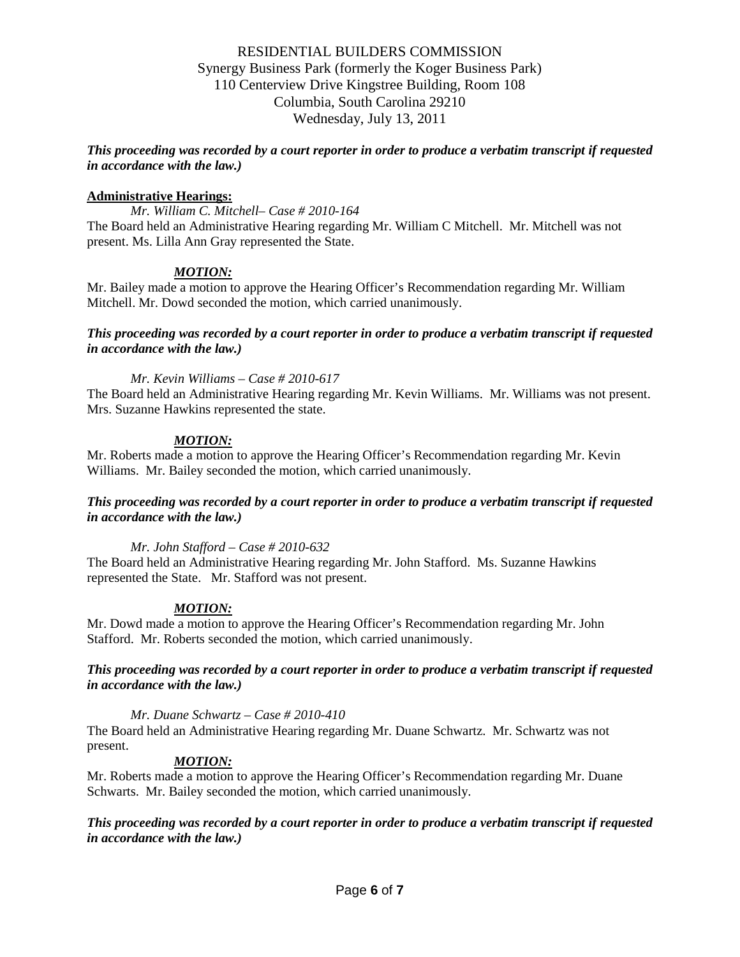*This proceeding was recorded by a court reporter in order to produce a verbatim transcript if requested in accordance with the law.)*

## **Administrative Hearings:**

*Mr. William C. Mitchell– Case # 2010-164* The Board held an Administrative Hearing regarding Mr. William C Mitchell. Mr. Mitchell was not present. Ms. Lilla Ann Gray represented the State.

# *MOTION:*

Mr. Bailey made a motion to approve the Hearing Officer's Recommendation regarding Mr. William Mitchell. Mr. Dowd seconded the motion, which carried unanimously.

## *This proceeding was recorded by a court reporter in order to produce a verbatim transcript if requested in accordance with the law.)*

*Mr. Kevin Williams – Case # 2010-617*

The Board held an Administrative Hearing regarding Mr. Kevin Williams. Mr. Williams was not present. Mrs. Suzanne Hawkins represented the state.

## *MOTION:*

Mr. Roberts made a motion to approve the Hearing Officer's Recommendation regarding Mr. Kevin Williams. Mr. Bailey seconded the motion, which carried unanimously.

## *This proceeding was recorded by a court reporter in order to produce a verbatim transcript if requested in accordance with the law.)*

*Mr. John Stafford – Case # 2010-632*

The Board held an Administrative Hearing regarding Mr. John Stafford. Ms. Suzanne Hawkins represented the State. Mr. Stafford was not present.

# *MOTION:*

Mr. Dowd made a motion to approve the Hearing Officer's Recommendation regarding Mr. John Stafford. Mr. Roberts seconded the motion, which carried unanimously.

## *This proceeding was recorded by a court reporter in order to produce a verbatim transcript if requested in accordance with the law.)*

*Mr. Duane Schwartz – Case # 2010-410*

The Board held an Administrative Hearing regarding Mr. Duane Schwartz. Mr. Schwartz was not present.

# *MOTION:*

Mr. Roberts made a motion to approve the Hearing Officer's Recommendation regarding Mr. Duane Schwarts. Mr. Bailey seconded the motion, which carried unanimously.

## *This proceeding was recorded by a court reporter in order to produce a verbatim transcript if requested in accordance with the law.)*